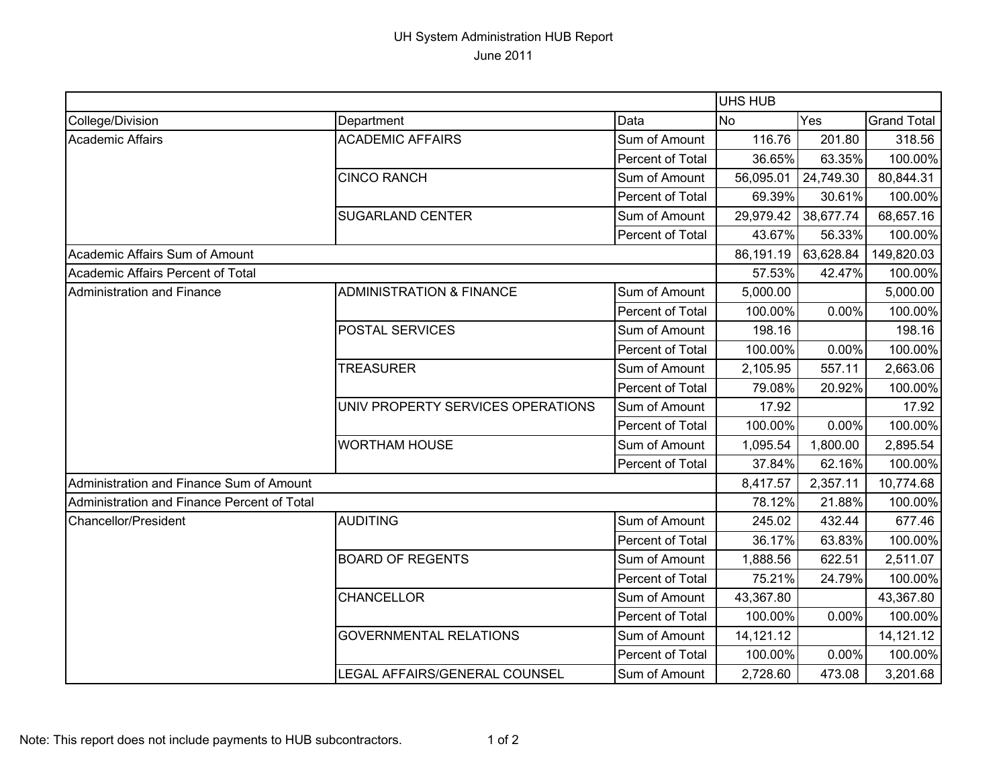## UH System Administration HUB Report June 2011

|                                             |                                     |                  | UHS HUB   |           |                    |
|---------------------------------------------|-------------------------------------|------------------|-----------|-----------|--------------------|
| College/Division                            | Department                          | Data             | <b>No</b> | Yes       | <b>Grand Total</b> |
| Academic Affairs                            | <b>ACADEMIC AFFAIRS</b>             | Sum of Amount    | 116.76    | 201.80    | 318.56             |
|                                             |                                     | Percent of Total | 36.65%    | 63.35%    | 100.00%            |
|                                             | <b>CINCO RANCH</b>                  | Sum of Amount    | 56,095.01 | 24,749.30 | 80,844.31          |
|                                             |                                     | Percent of Total | 69.39%    | 30.61%    | 100.00%            |
|                                             | <b>SUGARLAND CENTER</b>             | Sum of Amount    | 29,979.42 | 38,677.74 | 68,657.16          |
|                                             |                                     | Percent of Total | 43.67%    | 56.33%    | 100.00%            |
| Academic Affairs Sum of Amount              |                                     |                  | 86,191.19 | 63,628.84 | 149,820.03         |
| Academic Affairs Percent of Total           |                                     |                  | 57.53%    | 42.47%    | 100.00%            |
| Administration and Finance                  | <b>ADMINISTRATION &amp; FINANCE</b> | Sum of Amount    | 5,000.00  |           | 5,000.00           |
|                                             |                                     | Percent of Total | 100.00%   | 0.00%     | 100.00%            |
|                                             | POSTAL SERVICES                     | Sum of Amount    | 198.16    |           | 198.16             |
|                                             |                                     | Percent of Total | 100.00%   | 0.00%     | 100.00%            |
|                                             | <b>TREASURER</b>                    | Sum of Amount    | 2,105.95  | 557.11    | 2,663.06           |
|                                             |                                     | Percent of Total | 79.08%    | 20.92%    | 100.00%            |
|                                             | UNIV PROPERTY SERVICES OPERATIONS   | Sum of Amount    | 17.92     |           | 17.92              |
|                                             |                                     | Percent of Total | 100.00%   | 0.00%     | 100.00%            |
|                                             | <b>WORTHAM HOUSE</b>                | Sum of Amount    | 1,095.54  | 1,800.00  | 2,895.54           |
|                                             |                                     | Percent of Total | 37.84%    | 62.16%    | 100.00%            |
| Administration and Finance Sum of Amount    |                                     |                  | 8,417.57  | 2,357.11  | 10,774.68          |
| Administration and Finance Percent of Total |                                     |                  | 78.12%    | 21.88%    | 100.00%            |
| <b>Chancellor/President</b>                 | <b>AUDITING</b>                     | Sum of Amount    | 245.02    | 432.44    | 677.46             |
|                                             |                                     | Percent of Total | 36.17%    | 63.83%    | 100.00%            |
|                                             | <b>BOARD OF REGENTS</b>             | Sum of Amount    | 1,888.56  | 622.51    | 2,511.07           |
|                                             |                                     | Percent of Total | 75.21%    | 24.79%    | 100.00%            |
|                                             | <b>CHANCELLOR</b>                   | Sum of Amount    | 43,367.80 |           | 43,367.80          |
|                                             |                                     | Percent of Total | 100.00%   | 0.00%     | 100.00%            |
|                                             | <b>GOVERNMENTAL RELATIONS</b>       | Sum of Amount    | 14,121.12 |           | 14,121.12          |
|                                             |                                     | Percent of Total | 100.00%   | 0.00%     | 100.00%            |
|                                             | LEGAL AFFAIRS/GENERAL COUNSEL       | Sum of Amount    | 2,728.60  | 473.08    | 3,201.68           |